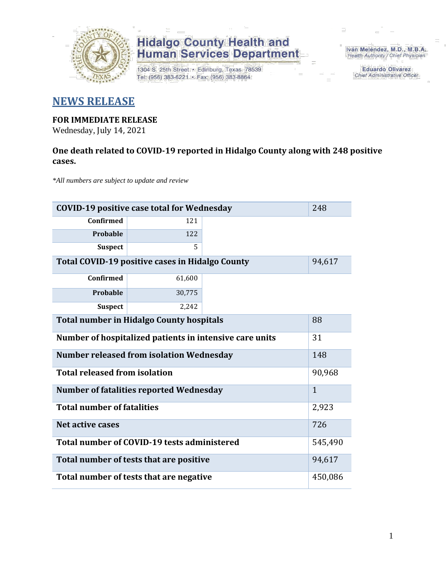

1304 S. 25th Street · Edinburg, Texas 78539 Tel: (956) 383-6221 · Fax: (956) 383-8864

Iván Meléndez, M.D., M.B.A. Health Authority / Chief Physician

> **Eduardo Olivarez** Chief Administrative Officer

### **NEWS RELEASE**

### **FOR IMMEDIATE RELEASE**

Wednesday, July 14, 2021

### **One death related to COVID-19 reported in Hidalgo County along with 248 positive cases.**

*\*All numbers are subject to update and review*

| <b>COVID-19 positive case total for Wednesday</b><br>248      |              |  |  |  |  |  |
|---------------------------------------------------------------|--------------|--|--|--|--|--|
| <b>Confirmed</b>                                              | 121          |  |  |  |  |  |
| Probable                                                      | 122          |  |  |  |  |  |
| <b>Suspect</b>                                                | 5            |  |  |  |  |  |
| Total COVID-19 positive cases in Hidalgo County               |              |  |  |  |  |  |
| <b>Confirmed</b>                                              | 61,600       |  |  |  |  |  |
| Probable                                                      | 30,775       |  |  |  |  |  |
| <b>Suspect</b>                                                | 2,242        |  |  |  |  |  |
| <b>Total number in Hidalgo County hospitals</b><br>88         |              |  |  |  |  |  |
| Number of hospitalized patients in intensive care units<br>31 |              |  |  |  |  |  |
| <b>Number released from isolation Wednesday</b><br>148        |              |  |  |  |  |  |
| <b>Total released from isolation</b>                          |              |  |  |  |  |  |
| <b>Number of fatalities reported Wednesday</b>                | $\mathbf{1}$ |  |  |  |  |  |
| <b>Total number of fatalities</b>                             | 2,923        |  |  |  |  |  |
| Net active cases                                              | 726          |  |  |  |  |  |
| Total number of COVID-19 tests administered                   | 545,490      |  |  |  |  |  |
| Total number of tests that are positive                       | 94,617       |  |  |  |  |  |
| Total number of tests that are negative                       | 450,086      |  |  |  |  |  |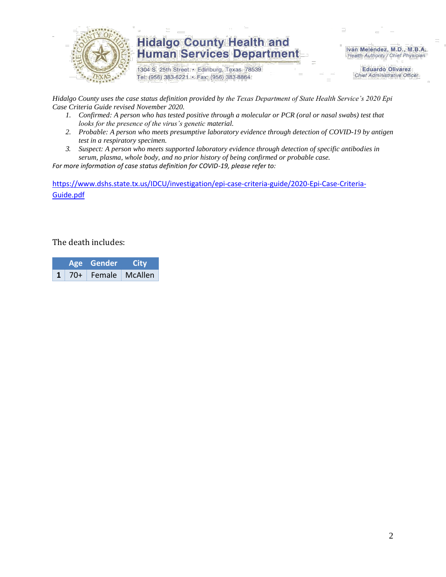

1304 S. 25th Street · Edinburg, Texas 78539 Tel: (956) 383-6221 · Fax: (956) 383-8864

Iván Meléndez, M.D., M.B.A. Health Authority / Chief Physician

> **Eduardo Olivarez Chief Administrative Officer**

*Hidalgo County uses the case status definition provided by the Texas Department of State Health Service's 2020 Epi Case Criteria Guide revised November 2020.*

- *1. Confirmed: A person who has tested positive through a molecular or PCR (oral or nasal swabs) test that looks for the presence of the virus's genetic material.*
- *2. Probable: A person who meets presumptive laboratory evidence through detection of COVID-19 by antigen test in a respiratory specimen.*
- *3. Suspect: A person who meets supported laboratory evidence through detection of specific antibodies in serum, plasma, whole body, and no prior history of being confirmed or probable case.*

*For more information of case status definition for COVID-19, please refer to:*

[https://www.dshs.state.tx.us/IDCU/investigation/epi-case-criteria-guide/2020-Epi-Case-Criteria-](https://www.dshs.state.tx.us/IDCU/investigation/epi-case-criteria-guide/2020-Epi-Case-Criteria-Guide.pdf)[Guide.pdf](https://www.dshs.state.tx.us/IDCU/investigation/epi-case-criteria-guide/2020-Epi-Case-Criteria-Guide.pdf)

The death includes:

|  | Age Gender                    | <b>City</b> |
|--|-------------------------------|-------------|
|  | $1 \mid 70+$ Female   McAllen |             |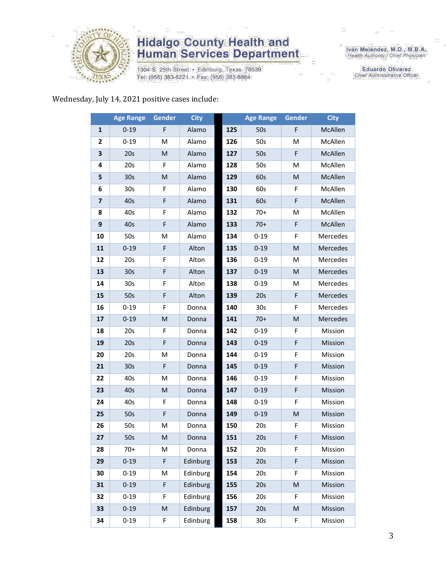

1304 S. 25th Street • Edinburg, Texas 78539<br>Tel: (956) 383-6221 • Fax: (956) 383-8864

Iván Meléndez, M.D., M.B.A.<br>Health Authority / Chief Physician

**Eduardo Olivarez** Chief Administrative Officer

Wednesday, July 14, 2021 positive cases include:

|                         | <b>Age Range</b> | Gender      | <b>City</b> |     | <b>Age Range</b> | Gender | <b>City</b> |
|-------------------------|------------------|-------------|-------------|-----|------------------|--------|-------------|
| 1                       | $0 - 19$         | F           | Alamo       | 125 | 50s              | F      | McAllen     |
| 2                       | $0 - 19$         | м           | Alamo       | 126 | 50s              | M      | McAllen     |
| 3                       | 20s              | M           | Alamo       | 127 | 50s              | F      | McAllen     |
| 4                       | 20s              | F           | Alamo       | 128 | 50s              | Μ      | McAllen     |
| 5                       | 30 <sub>s</sub>  | M           | Alamo       | 129 | 60s              | M      | McAllen     |
| 6                       | 30s              | F           | Alamo       | 130 | 60s              | F      | McAllen     |
| $\overline{\mathbf{z}}$ | 40s              | $\mathsf F$ | Alamo       | 131 | 60s              | F      | McAllen     |
| 8                       | 40s              | F           | Alamo       | 132 | $70+$            | M      | McAllen     |
| 9                       | 40s              | F           | Alamo       | 133 | $70+$            | F      | McAllen     |
| 10                      | 50s              | M           | Alamo       | 134 | $0 - 19$         | F      | Mercedes    |
| 11                      | $0 - 19$         | F           | Alton       | 135 | $0 - 19$         | M      | Mercedes    |
| 12                      | 20s              | F           | Alton       | 136 | $0 - 19$         | M      | Mercedes    |
| 13                      | 30 <sub>s</sub>  | $\mathsf F$ | Alton       | 137 | $0 - 19$         | M      | Mercedes    |
| 14                      | 30 <sub>s</sub>  | F           | Alton       | 138 | $0 - 19$         | M      | Mercedes    |
| 15                      | 50s              | $\mathsf F$ | Alton       | 139 | 20s              | F      | Mercedes    |
| 16                      | $0 - 19$         | F           | Donna       | 140 | 30 <sub>s</sub>  | F      | Mercedes    |
| 17                      | $0 - 19$         | M           | Donna       | 141 | $70+$            | M      | Mercedes    |
| 18                      | 20s              | F           | Donna       | 142 | $0 - 19$         | F      | Mission     |
| 19                      | 20s              | F           | Donna       | 143 | $0 - 19$         | F      | Mission     |
| 20                      | 20s              | M           | Donna       | 144 | $0 - 19$         | F      | Mission     |
| 21                      | 30 <sub>s</sub>  | F           | Donna       | 145 | $0 - 19$         | F      | Mission     |
| 22                      | 40s              | M           | Donna       | 146 | $0 - 19$         | F      | Mission     |
| 23                      | 40s              | M           | Donna       | 147 | $0 - 19$         | F      | Mission     |
| 24                      | 40s              | F           | Donna       | 148 | $0 - 19$         | F      | Mission     |
| 25                      | 50s              | F           | Donna       | 149 | $0 - 19$         | M      | Mission     |
| 26                      | 50s              | M           | Donna       | 150 | 20s              | F      | Mission     |
| 27                      | 50s              | M           | Donna       | 151 | 20s              | F      | Mission     |
| 28                      | 70+              | м           | Donna       | 152 | 20s              | F      | Mission     |
| 29                      | $0 - 19$         | F           | Edinburg    | 153 | 20s              | F      | Mission     |
| 30                      | $0 - 19$         | Μ           | Edinburg    | 154 | 20s              | F      | Mission     |
| 31                      | $0 - 19$         | F           | Edinburg    | 155 | 20s              | M      | Mission     |
| 32                      | $0 - 19$         | F           | Edinburg    | 156 | 20s              | F      | Mission     |
| 33                      | $0 - 19$         | M           | Edinburg    | 157 | 20s              | M      | Mission     |
| 34                      | $0 - 19$         | F           | Edinburg    | 158 | 30 <sub>s</sub>  | F      | Mission     |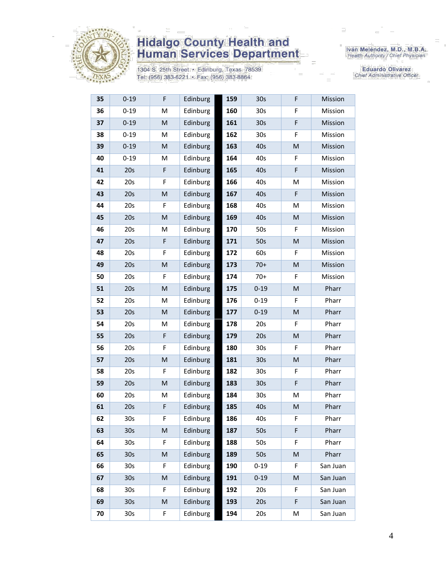

1304 S. 25th Street • Edinburg, Texas 78539<br>Tel: (956) 383-6221 • Fax: (956) 383-8864

Iván Meléndez, M.D., M.B.A.<br>Health Authority / Chief Physician

**Eduardo Olivarez** Chief Administrative Officer

| 35 | $0 - 19$        | F           | Edinburg | 159 | 30 <sub>s</sub> | F | Mission  |
|----|-----------------|-------------|----------|-----|-----------------|---|----------|
| 36 | $0 - 19$        | M           | Edinburg | 160 | 30 <sub>s</sub> | F | Mission  |
| 37 | $0 - 19$        | M           | Edinburg | 161 | 30 <sub>s</sub> | F | Mission  |
| 38 | $0 - 19$        | M           | Edinburg | 162 | 30 <sub>s</sub> | F | Mission  |
| 39 | $0 - 19$        | M           | Edinburg | 163 | 40s             | M | Mission  |
| 40 | $0 - 19$        | M           | Edinburg | 164 | 40s             | F | Mission  |
| 41 | 20s             | F           | Edinburg | 165 | 40s             | F | Mission  |
| 42 | 20s             | F           | Edinburg | 166 | 40s             | M | Mission  |
| 43 | 20s             | M           | Edinburg | 167 | 40s             | F | Mission  |
| 44 | 20s             | F           | Edinburg | 168 | 40s             | M | Mission  |
| 45 | 20s             | M           | Edinburg | 169 | 40s             | M | Mission  |
| 46 | 20s             | M           | Edinburg | 170 | 50s             | F | Mission  |
| 47 | 20s             | $\mathsf F$ | Edinburg | 171 | 50s             | M | Mission  |
| 48 | 20s             | F           | Edinburg | 172 | 60s             | F | Mission  |
| 49 | 20s             | M           | Edinburg | 173 | $70+$           | M | Mission  |
| 50 | 20s             | F           | Edinburg | 174 | $70+$           | F | Mission  |
| 51 | 20s             | M           | Edinburg | 175 | $0 - 19$        | M | Pharr    |
| 52 | 20s             | M           | Edinburg | 176 | $0 - 19$        | F | Pharr    |
| 53 | 20s             | M           | Edinburg | 177 | $0 - 19$        | M | Pharr    |
| 54 | 20s             | М           | Edinburg | 178 | 20s             | F | Pharr    |
| 55 | 20s             | F           | Edinburg | 179 | 20s             | M | Pharr    |
| 56 | 20s             | F           | Edinburg | 180 | 30 <sub>s</sub> | F | Pharr    |
| 57 | 20s             | M           | Edinburg | 181 | 30s             | M | Pharr    |
| 58 | 20s             | F           | Edinburg | 182 | 30 <sub>s</sub> | F | Pharr    |
| 59 | 20s             | M           | Edinburg | 183 | 30s             | F | Pharr    |
| 60 | 20s             | M           | Edinburg | 184 | 30 <sub>s</sub> | M | Pharr    |
| 61 | 20s             | F           | Edinburg | 185 | 40s             | M | Pharr    |
| 62 | 30 <sub>s</sub> | F           | Edinburg | 186 | 40s             | F | Pharr    |
| 63 | 30 <sub>s</sub> | M           | Edinburg | 187 | 50s             | F | Pharr    |
| 64 | 30 <sub>s</sub> | F           | Edinburg | 188 | 50s             | F | Pharr    |
| 65 | 30 <sub>s</sub> | M           | Edinburg | 189 | 50s             | M | Pharr    |
| 66 | 30s             | F           | Edinburg | 190 | $0 - 19$        | F | San Juan |
| 67 | 30 <sub>s</sub> | M           | Edinburg | 191 | $0 - 19$        | M | San Juan |
| 68 | 30 <sub>s</sub> | F           | Edinburg | 192 | 20s             | F | San Juan |
| 69 | 30 <sub>s</sub> | M           | Edinburg | 193 | 20s             | F | San Juan |
| 70 | 30 <sub>s</sub> | F           | Edinburg | 194 | 20s             | М | San Juan |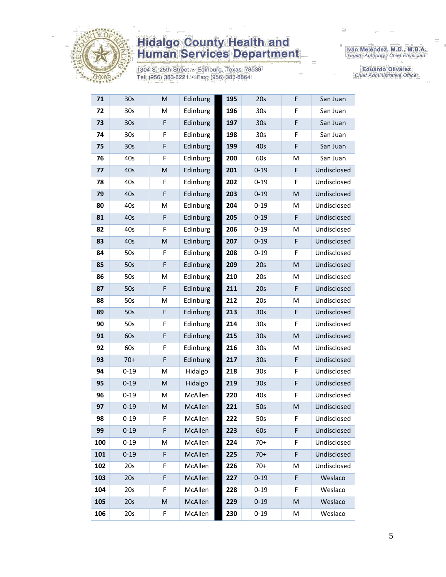

1304 S. 25th Street • Edinburg, Texas 78539<br>Tel: (956) 383-6221 • Fax: (956) 383-8864

Iván Meléndez, M.D., M.B.A.<br>Health Authority / Chief Physician

**Eduardo Olivarez** Chief Administrative Officer

| 71  | 30s             | M           | Edinburg | 195 | 20s             | F | San Juan    |
|-----|-----------------|-------------|----------|-----|-----------------|---|-------------|
| 72  | 30 <sub>s</sub> | M           | Edinburg | 196 | 30 <sub>s</sub> | F | San Juan    |
| 73  | 30 <sub>s</sub> | F           | Edinburg | 197 | 30 <sub>s</sub> | F | San Juan    |
| 74  | 30s             | F           | Edinburg | 198 | 30s             | F | San Juan    |
| 75  | 30 <sub>s</sub> | F           | Edinburg | 199 | 40s             | F | San Juan    |
| 76  | 40s             | F           | Edinburg | 200 | 60s             | M | San Juan    |
| 77  | 40s             | M           | Edinburg | 201 | $0 - 19$        | F | Undisclosed |
| 78  | 40s             | F           | Edinburg | 202 | $0 - 19$        | F | Undisclosed |
| 79  | 40s             | $\mathsf F$ | Edinburg | 203 | $0 - 19$        | M | Undisclosed |
| 80  | 40s             | M           | Edinburg | 204 | $0 - 19$        | M | Undisclosed |
| 81  | 40s             | F           | Edinburg | 205 | $0 - 19$        | F | Undisclosed |
| 82  | 40s             | F           | Edinburg | 206 | $0 - 19$        | Μ | Undisclosed |
| 83  | 40s             | M           | Edinburg | 207 | $0 - 19$        | F | Undisclosed |
| 84  | 50s             | F           | Edinburg | 208 | $0 - 19$        | F | Undisclosed |
| 85  | 50s             | $\mathsf F$ | Edinburg | 209 | 20s             | M | Undisclosed |
| 86  | 50s             | M           | Edinburg | 210 | 20s             | M | Undisclosed |
| 87  | 50s             | F           | Edinburg | 211 | 20s             | F | Undisclosed |
| 88  | 50s             | M           | Edinburg | 212 | 20s             | Μ | Undisclosed |
| 89  | 50s             | F           | Edinburg | 213 | 30 <sub>s</sub> | F | Undisclosed |
| 90  | 50s             | F           | Edinburg | 214 | 30s             | F | Undisclosed |
| 91  | 60s             | $\mathsf F$ | Edinburg | 215 | 30 <sub>s</sub> | M | Undisclosed |
| 92  | 60s             | F           | Edinburg | 216 | 30 <sub>s</sub> | M | Undisclosed |
| 93  | $70+$           | $\mathsf F$ | Edinburg | 217 | 30 <sub>s</sub> | F | Undisclosed |
| 94  | $0 - 19$        | M           | Hidalgo  | 218 | 30 <sub>s</sub> | F | Undisclosed |
| 95  | $0 - 19$        | M           | Hidalgo  | 219 | 30 <sub>s</sub> | F | Undisclosed |
| 96  | $0 - 19$        | M           | McAllen  | 220 | 40s             | F | Undisclosed |
| 97  | $0 - 19$        | M           | McAllen  | 221 | 50s             | M | Undisclosed |
| 98  | $0 - 19$        | F           | McAllen  | 222 | 50s             | F | Undisclosed |
| 99  | $0 - 19$        | F           | McAllen  | 223 | 60s             | F | Undisclosed |
| 100 | $0 - 19$        | M           | McAllen  | 224 | $70+$           | F | Undisclosed |
| 101 | $0 - 19$        | $\mathsf F$ | McAllen  | 225 | $70+$           | F | Undisclosed |
| 102 | 20s             | F           | McAllen  | 226 | $70+$           | М | Undisclosed |
| 103 | 20s             | $\mathsf F$ | McAllen  | 227 | $0 - 19$        | F | Weslaco     |
| 104 | 20s             | F           | McAllen  | 228 | $0 - 19$        | F | Weslaco     |
| 105 | 20s             | M           | McAllen  | 229 | $0 - 19$        | M | Weslaco     |
| 106 | 20s             | F           | McAllen  | 230 | $0 - 19$        | M | Weslaco     |